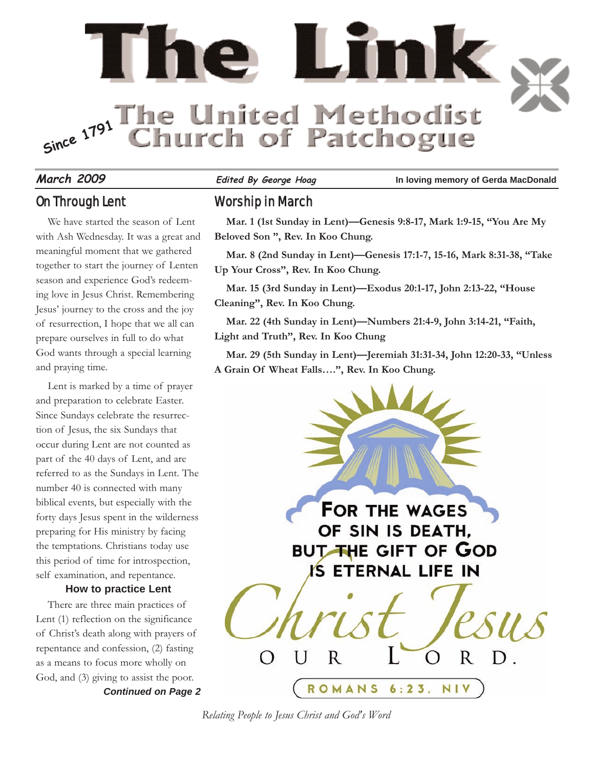

#### On Through Lent

We have started the season of Lent with Ash Wednesday. It was a great and meaningful moment that we gathered together to start the journey of Lenten season and experience God's redeeming love in Jesus Christ. Remembering Jesus' journey to the cross and the joy of resurrection, I hope that we all can prepare ourselves in full to do what God wants through a special learning and praying time.

Lent is marked by a time of prayer and preparation to celebrate Easter. Since Sundays celebrate the resurrection of Jesus, the six Sundays that occur during Lent are not counted as part of the 40 days of Lent, and are referred to as the Sundays in Lent. The number 40 is connected with many biblical events, but especially with the forty days Jesus spent in the wilderness preparing for His ministry by facing the temptations. Christians today use this period of time for introspection, self examination, and repentance.

#### **How to practice Lent**

*Continued on Page 2* There are three main practices of Lent (1) reflection on the significance of Christ's death along with prayers of repentance and confession, (2) fasting as a means to focus more wholly on God, and (3) giving to assist the poor.

**March 2009 Edited By George Hoag In loving memory of Gerda MacDonald**

#### Worship in March

**Mar. 1 (1st Sunday in Lent)—Genesis 9:8-17, Mark 1:9-15, "You Are My Beloved Son ", Rev. In Koo Chung.**

**Mar. 8 (2nd Sunday in Lent)—Genesis 17:1-7, 15-16, Mark 8:31-38, "Take Up Your Cross", Rev. In Koo Chung.**

**Mar. 15 (3rd Sunday in Lent)—Exodus 20:1-17, John 2:13-22, "House Cleaning", Rev. In Koo Chung.**

**Mar. 22 (4th Sunday in Lent)—Numbers 21:4-9, John 3:14-21, "Faith, Light and Truth", Rev. In Koo Chung**

**Mar. 29 (5th Sunday in Lent)—Jeremiah 31:31-34, John 12:20-33, "Unless A Grain Of Wheat Falls….", Rev. In Koo Chung.**



*Relating People to Jesus Christ and God's Word*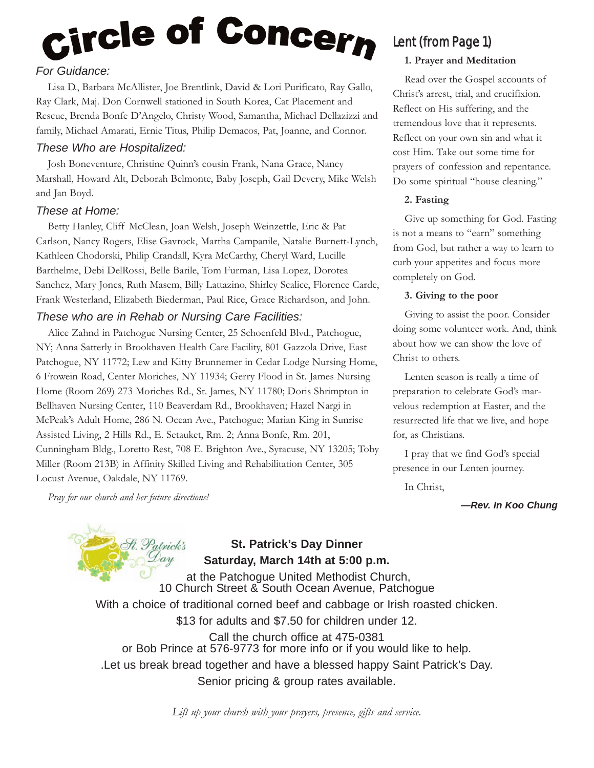# <sub>Circle</sub> of Concer<sub>n</sub>

#### *For Guidance:*

Lisa D., Barbara McAllister, Joe Brentlink, David & Lori Purificato, Ray Gallo, Ray Clark, Maj. Don Cornwell stationed in South Korea, Cat Placement and Rescue, Brenda Bonfe D'Angelo, Christy Wood, Samantha, Michael Dellazizzi and family, Michael Amarati, Ernie Titus, Philip Demacos, Pat, Joanne, and Connor.

#### *These Who are Hospitalized:*

Josh Boneventure, Christine Quinn's cousin Frank, Nana Grace, Nancy Marshall, Howard Alt, Deborah Belmonte, Baby Joseph, Gail Devery, Mike Welsh and Jan Boyd.

#### *These at Home:*

Betty Hanley, Cliff McClean, Joan Welsh, Joseph Weinzettle, Eric & Pat Carlson, Nancy Rogers, Elise Gavrock, Martha Campanile, Natalie Burnett-Lynch, Kathleen Chodorski, Philip Crandall, Kyra McCarthy, Cheryl Ward, Lucille Barthelme, Debi DelRossi, Belle Barile, Tom Furman, Lisa Lopez, Dorotea Sanchez, Mary Jones, Ruth Masem, Billy Lattazino, Shirley Scalice, Florence Carde, Frank Westerland, Elizabeth Biederman, Paul Rice, Grace Richardson, and John.

#### *These who are in Rehab or Nursing Care Facilities:*

Alice Zahnd in Patchogue Nursing Center, 25 Schoenfeld Blvd., Patchogue, NY; Anna Satterly in Brookhaven Health Care Facility, 801 Gazzola Drive, East Patchogue, NY 11772; Lew and Kitty Brunnemer in Cedar Lodge Nursing Home, 6 Frowein Road, Center Moriches, NY 11934; Gerry Flood in St. James Nursing Home (Room 269) 273 Moriches Rd., St. James, NY 11780; Doris Shrimpton in Bellhaven Nursing Center, 110 Beaverdam Rd., Brookhaven; Hazel Nargi in McPeak's Adult Home, 286 N. Ocean Ave., Patchogue; Marian King in Sunrise Assisted Living, 2 Hills Rd., E. Setauket, Rm. 2; Anna Bonfe, Rm. 201, Cunningham Bldg., Loretto Rest, 708 E. Brighton Ave., Syracuse, NY 13205; Toby Miller (Room 213B) in Affinity Skilled Living and Rehabilitation Center, 305 Locust Avenue, Oakdale, NY 11769.

*Pray for our church and her future directions!*

## Lent (from Page 1)

#### **1. Prayer and Meditation**

Read over the Gospel accounts of Christ's arrest, trial, and crucifixion. Reflect on His suffering, and the tremendous love that it represents. Reflect on your own sin and what it cost Him. Take out some time for prayers of confession and repentance. Do some spiritual "house cleaning."

#### **2. Fasting**

Give up something for God. Fasting is not a means to "earn" something from God, but rather a way to learn to curb your appetites and focus more completely on God.

#### **3. Giving to the poor**

Giving to assist the poor. Consider doing some volunteer work. And, think about how we can show the love of Christ to others.

Lenten season is really a time of preparation to celebrate God's marvelous redemption at Easter, and the resurrected life that we live, and hope for, as Christians.

I pray that we find God's special presence in our Lenten journey.

In Christ,

*—Rev. In Koo Chung*



#### **St. Patrick's Day Dinner Saturday, March 14th at 5:00 p.m.**

at the Patchogue United Methodist Church, 10 Church Street & South Ocean Avenue, Patchogue

With a choice of traditional corned beef and cabbage or Irish roasted chicken.

\$13 for adults and \$7.50 for children under 12.

Call the church office at 475-0381 or Bob Prince at 576-9773 for more info or if you would like to help. .Let us break bread together and have a blessed happy Saint Patrick's Day. Senior pricing & group rates available.

*Lift up your church with your prayers, presence, gifts and service.*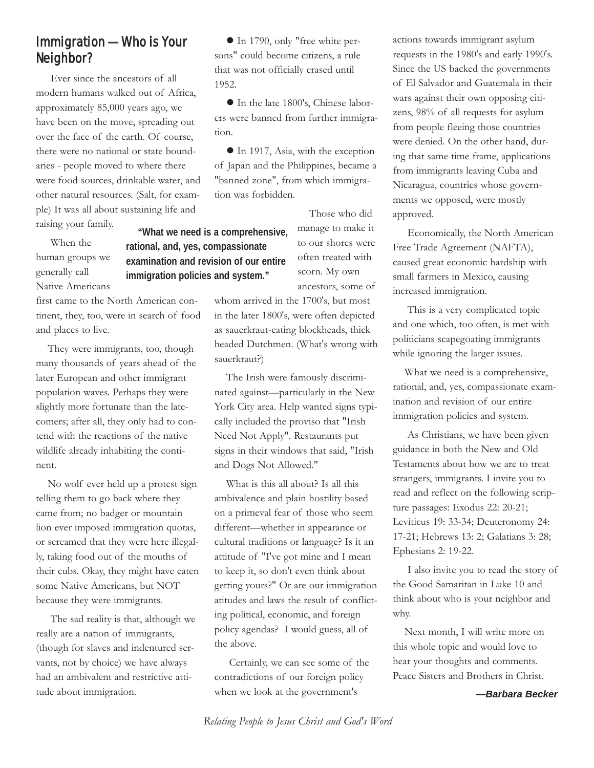#### Immigration —Who is Your Neighbor?

Ever since the ancestors of all modern humans walked out of Africa, approximately 85,000 years ago, we have been on the move, spreading out over the face of the earth. Of course, there were no national or state boundaries - people moved to where there were food sources, drinkable water, and other natural resources. (Salt, for example) It was all about sustaining life and raising your family. **"What we need is a comprehensive,**

When the human groups we generally call Native Americans

**rational, and, yes, compassionate examination and revision of our entire immigration policies and system."**

first came to the North American continent, they, too, were in search of food and places to live.

They were immigrants, too, though many thousands of years ahead of the later European and other immigrant population waves. Perhaps they were slightly more fortunate than the latecomers; after all, they only had to contend with the reactions of the native wildlife already inhabiting the continent.

No wolf ever held up a protest sign telling them to go back where they came from; no badger or mountain lion ever imposed immigration quotas, or screamed that they were here illegally, taking food out of the mouths of their cubs. Okay, they might have eaten some Native Americans, but NOT because they were immigrants.

The sad reality is that, although we really are a nation of immigrants, (though for slaves and indentured servants, not by choice) we have always had an ambivalent and restrictive attitude about immigration.

 In 1790, only "free white persons" could become citizens, a rule that was not officially erased until 1952.

 In the late 1800's, Chinese laborers were banned from further immigration.

● In 1917, Asia, with the exception of Japan and the Philippines, became a "banned zone", from which immigration was forbidden.

> Those who did manage to make it to our shores were often treated with scorn. My own ancestors, some of

whom arrived in the 1700's, but most in the later 1800's, were often depicted as sauerkraut-eating blockheads, thick headed Dutchmen. (What's wrong with sauerkraut?)

The Irish were famously discriminated against—particularly in the New York City area. Help wanted signs typically included the proviso that "Irish Need Not Apply". Restaurants put signs in their windows that said, "Irish and Dogs Not Allowed."

What is this all about? Is all this ambivalence and plain hostility based on a primeval fear of those who seem different—whether in appearance or cultural traditions or language? Is it an attitude of "I've got mine and I mean to keep it, so don't even think about getting yours?" Or are our immigration atitudes and laws the result of conflicting political, economic, and foreign policy agendas? I would guess, all of the above.

Certainly, we can see some of the contradictions of our foreign policy when we look at the government's

actions towards immigrant asylum requests in the 1980's and early 1990's. Since the US backed the governments of El Salvador and Guatemala in their wars against their own opposing citizens, 98% of all requests for asylum from people fleeing those countries were denied. On the other hand, during that same time frame, applications from immigrants leaving Cuba and Nicaragua, countries whose governments we opposed, were mostly approved.

Economically, the North American Free Trade Agreement (NAFTA), caused great economic hardship with small farmers in Mexico, causing increased immigration.

This is a very complicated topic and one which, too often, is met with politicians scapegoating immigrants while ignoring the larger issues.

What we need is a comprehensive, rational, and, yes, compassionate examination and revision of our entire immigration policies and system.

As Christians, we have been given guidance in both the New and Old Testaments about how we are to treat strangers, immigrants. I invite you to read and reflect on the following scripture passages: Exodus 22: 20-21; Leviticus 19: 33-34; Deuteronomy 24: 17-21; Hebrews 13: 2; Galatians 3: 28; Ephesians 2: 19-22.

I also invite you to read the story of the Good Samaritan in Luke 10 and think about who is your neighbor and why.

Next month, I will write more on this whole topic and would love to hear your thoughts and comments. Peace Sisters and Brothers in Christ.

*—Barbara Becker*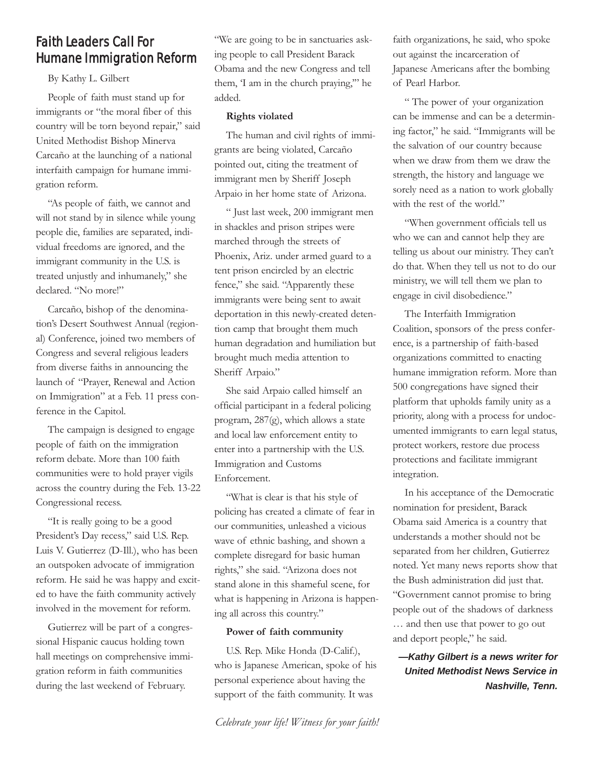### Faith Leaders Call For Humane Immigration Reform

By Kathy L. Gilbert

People of faith must stand up for immigrants or "the moral fiber of this country will be torn beyond repair," said United Methodist Bishop Minerva Carcaño at the launching of a national interfaith campaign for humane immigration reform.

"As people of faith, we cannot and will not stand by in silence while young people die, families are separated, individual freedoms are ignored, and the immigrant community in the U.S. is treated unjustly and inhumanely," she declared. "No more!"

Carcaño, bishop of the denomination's Desert Southwest Annual (regional) Conference, joined two members of Congress and several religious leaders from diverse faiths in announcing the launch of "Prayer, Renewal and Action on Immigration" at a Feb. 11 press conference in the Capitol.

The campaign is designed to engage people of faith on the immigration reform debate. More than 100 faith communities were to hold prayer vigils across the country during the Feb. 13-22 Congressional recess.

"It is really going to be a good President's Day recess," said U.S. Rep. Luis V. Gutierrez (D-Ill.), who has been an outspoken advocate of immigration reform. He said he was happy and excited to have the faith community actively involved in the movement for reform.

Gutierrez will be part of a congressional Hispanic caucus holding town hall meetings on comprehensive immigration reform in faith communities during the last weekend of February.

"We are going to be in sanctuaries asking people to call President Barack Obama and the new Congress and tell them, 'I am in the church praying,'" he added.

#### **Rights violated**

The human and civil rights of immigrants are being violated, Carcaño pointed out, citing the treatment of immigrant men by Sheriff Joseph Arpaio in her home state of Arizona.

" Just last week, 200 immigrant men in shackles and prison stripes were marched through the streets of Phoenix, Ariz. under armed guard to a tent prison encircled by an electric fence," she said. "Apparently these immigrants were being sent to await deportation in this newly-created detention camp that brought them much human degradation and humiliation but brought much media attention to Sheriff Arpaio."

She said Arpaio called himself an official participant in a federal policing program, 287(g), which allows a state and local law enforcement entity to enter into a partnership with the U.S. Immigration and Customs Enforcement.

"What is clear is that his style of policing has created a climate of fear in our communities, unleashed a vicious wave of ethnic bashing, and shown a complete disregard for basic human rights," she said. "Arizona does not stand alone in this shameful scene, for what is happening in Arizona is happening all across this country."

#### **Power of faith community**

U.S. Rep. Mike Honda (D-Calif.), who is Japanese American, spoke of his personal experience about having the support of the faith community. It was

faith organizations, he said, who spoke out against the incarceration of Japanese Americans after the bombing of Pearl Harbor.

" The power of your organization can be immense and can be a determining factor," he said. "Immigrants will be the salvation of our country because when we draw from them we draw the strength, the history and language we sorely need as a nation to work globally with the rest of the world."

"When government officials tell us who we can and cannot help they are telling us about our ministry. They can't do that. When they tell us not to do our ministry, we will tell them we plan to engage in civil disobedience."

The Interfaith Immigration Coalition, sponsors of the press conference, is a partnership of faith-based organizations committed to enacting humane immigration reform. More than 500 congregations have signed their platform that upholds family unity as a priority, along with a process for undocumented immigrants to earn legal status, protect workers, restore due process protections and facilitate immigrant integration.

In his acceptance of the Democratic nomination for president, Barack Obama said America is a country that understands a mother should not be separated from her children, Gutierrez noted. Yet many news reports show that the Bush administration did just that. "Government cannot promise to bring people out of the shadows of darkness … and then use that power to go out and deport people," he said.

*—Kathy Gilbert is a news writer for United Methodist News Service in Nashville, Tenn.*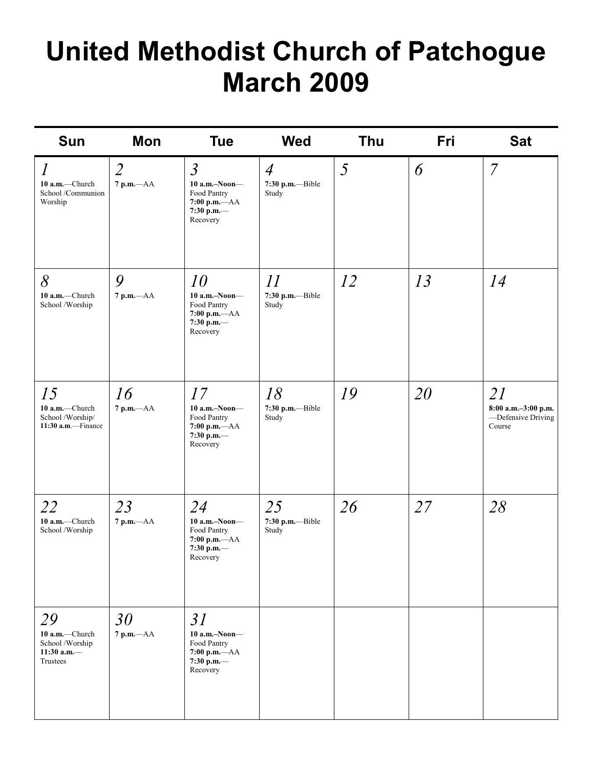# **United Methodist Church of Patchogue March 2009**

| <b>Sun</b>                                                            | Mon                              | <b>Tue</b>                                                                                 | <b>Wed</b>                                  | Thu | Fri | <b>Sat</b>                                                |
|-----------------------------------------------------------------------|----------------------------------|--------------------------------------------------------------------------------------------|---------------------------------------------|-----|-----|-----------------------------------------------------------|
| $\iota$<br>10 a.m.-Church<br>School /Communion<br>Worship             | $\overline{2}$<br>$7$ p.m. $-AA$ | $\mathfrak{Z}$<br>$10$ a.m.-Noon-<br>Food Pantry<br>7:00 p.m.-AA<br>7:30 p.m.—<br>Recovery | $\overline{4}$<br>7:30 p.m.--Bible<br>Study | 5   | 6   | $\overline{7}$                                            |
| 8<br>10 a.m.-Church<br>School /Worship                                | 9<br>$7 p.m. -AA$                | 10<br>$10$ a.m.-Noon-<br>Food Pantry<br>7:00 p.m.-- AA<br>7:30 p.m.-<br>Recovery           | 11<br>7:30 p.m.--Bible<br>Study             | 12  | 13  | 14                                                        |
| 15<br>10 a.m.-Church<br>School /Worship/<br>11:30 a.m.-Finance        | 16<br>7 p.m.-- AA                | 17<br>$10$ a.m.-Noon-<br>Food Pantry<br>7:00 p.m.-- AA<br>7:30 p.m.-<br>Recovery           | 18<br>7:30 p.m.--Bible<br>Study             | 19  | 20  | 21<br>8:00 a.m.-3:00 p.m.<br>-Defensive Driving<br>Course |
| 22<br>10 a.m.-Church<br>School /Worship                               | 23<br>$7 p.m. -AA$               | 24<br>$10$ a.m.-Noon-<br>Food Pantry<br>7:00 p.m.-AA<br>7:30 p.m.—<br>Recovery             | 25<br>7:30 p.m.--Bible<br>Study             | 26  | 27  | 28                                                        |
| 29<br>10 a.m.-Church<br>School /Worship<br>11:30 a.m. $-$<br>Trustees | 30<br>$7$ p.m. $-AA$             | 31<br>$10$ a.m.-Noon-<br>Food Pantry<br>$7:00$ p.m.- $AA$<br>7:30 p.m.-<br>Recovery        |                                             |     |     |                                                           |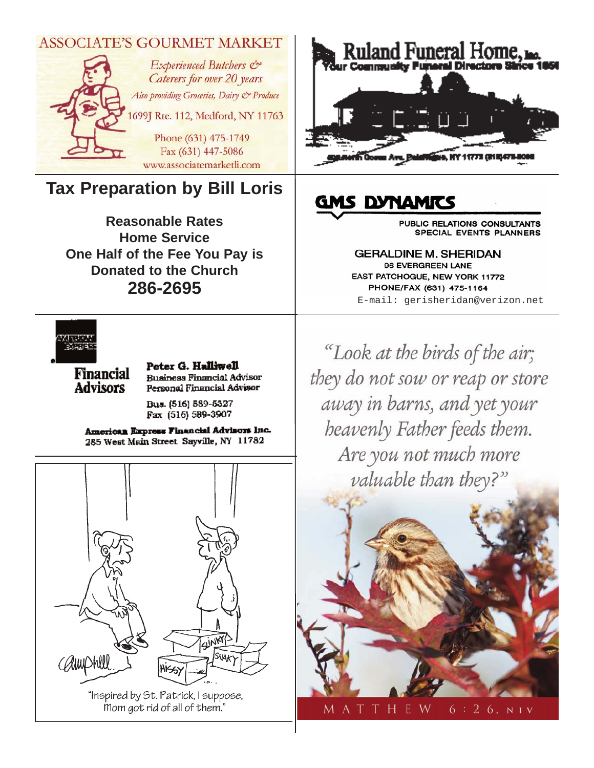

mom got rid of all of them."

A T THE - W  $6:26, NIV$ 

M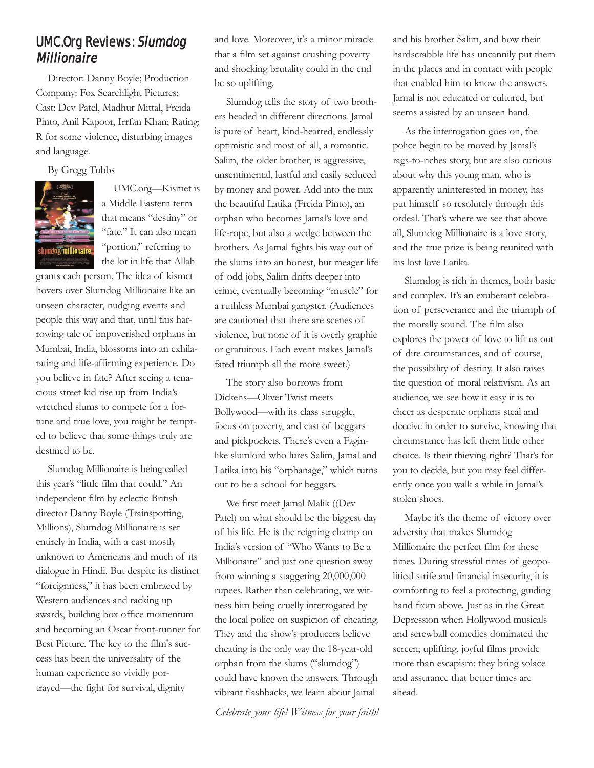#### UMC.Org Reviews: Slumdog Millionaire

Director: Danny Boyle; Production Company: Fox Searchlight Pictures; Cast: Dev Patel, Madhur Mittal, Freida Pinto, Anil Kapoor, Irrfan Khan; Rating: R for some violence, disturbing images and language.

By Gregg Tubbs



UMC.org—Kismet is a Middle Eastern term that means "destiny" or "fate." It can also mean "portion," referring to the lot in life that Allah

grants each person. The idea of kismet hovers over Slumdog Millionaire like an unseen character, nudging events and people this way and that, until this harrowing tale of impoverished orphans in Mumbai, India, blossoms into an exhilarating and life-affirming experience. Do you believe in fate? After seeing a tenacious street kid rise up from India's wretched slums to compete for a fortune and true love, you might be tempted to believe that some things truly are destined to be.

Slumdog Millionaire is being called this year's "little film that could." An independent film by eclectic British director Danny Boyle (Trainspotting, Millions), Slumdog Millionaire is set entirely in India, with a cast mostly unknown to Americans and much of its dialogue in Hindi. But despite its distinct "foreignness," it has been embraced by Western audiences and racking up awards, building box office momentum and becoming an Oscar front-runner for Best Picture. The key to the film's success has been the universality of the human experience so vividly portrayed—the fight for survival, dignity

and love. Moreover, it's a minor miracle that a film set against crushing poverty and shocking brutality could in the end be so uplifting.

Slumdog tells the story of two brothers headed in different directions. Jamal is pure of heart, kind-hearted, endlessly optimistic and most of all, a romantic. Salim, the older brother, is aggressive, unsentimental, lustful and easily seduced by money and power. Add into the mix the beautiful Latika (Freida Pinto), an orphan who becomes Jamal's love and life-rope, but also a wedge between the brothers. As Jamal fights his way out of the slums into an honest, but meager life of odd jobs, Salim drifts deeper into crime, eventually becoming "muscle" for a ruthless Mumbai gangster. (Audiences are cautioned that there are scenes of violence, but none of it is overly graphic or gratuitous. Each event makes Jamal's fated triumph all the more sweet.)

The story also borrows from Dickens—Oliver Twist meets Bollywood—with its class struggle, focus on poverty, and cast of beggars and pickpockets. There's even a Faginlike slumlord who lures Salim, Jamal and Latika into his "orphanage," which turns out to be a school for beggars.

We first meet Jamal Malik ((Dev Patel) on what should be the biggest day of his life. He is the reigning champ on India's version of "Who Wants to Be a Millionaire" and just one question away from winning a staggering 20,000,000 rupees. Rather than celebrating, we witness him being cruelly interrogated by the local police on suspicion of cheating. They and the show's producers believe cheating is the only way the 18-year-old orphan from the slums ("slumdog") could have known the answers. Through vibrant flashbacks, we learn about Jamal

*Celebrate your life! Witness for your faith!*

and his brother Salim, and how their hardscrabble life has uncannily put them in the places and in contact with people that enabled him to know the answers. Jamal is not educated or cultured, but seems assisted by an unseen hand.

As the interrogation goes on, the police begin to be moved by Jamal's rags-to-riches story, but are also curious about why this young man, who is apparently uninterested in money, has put himself so resolutely through this ordeal. That's where we see that above all, Slumdog Millionaire is a love story, and the true prize is being reunited with his lost love Latika.

Slumdog is rich in themes, both basic and complex. It's an exuberant celebration of perseverance and the triumph of the morally sound. The film also explores the power of love to lift us out of dire circumstances, and of course, the possibility of destiny. It also raises the question of moral relativism. As an audience, we see how it easy it is to cheer as desperate orphans steal and deceive in order to survive, knowing that circumstance has left them little other choice. Is their thieving right? That's for you to decide, but you may feel differently once you walk a while in Jamal's stolen shoes.

Maybe it's the theme of victory over adversity that makes Slumdog Millionaire the perfect film for these times. During stressful times of geopolitical strife and financial insecurity, it is comforting to feel a protecting, guiding hand from above. Just as in the Great Depression when Hollywood musicals and screwball comedies dominated the screen; uplifting, joyful films provide more than escapism: they bring solace and assurance that better times are ahead.